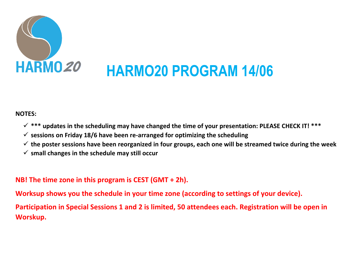

## **NOTES:**

- **\*\*\* updates in the scheduling may have changed the time of your presentation: PLEASE CHECK IT! \*\*\***
- $\checkmark$  sessions on Friday 18/6 have been re-arranged for optimizing the scheduling
- **the poster sessions have been reorganized in four groups, each one will be streamed twice during the week**
- **small changes in the schedule may still occur**

# **NB! The time zone in this program is CEST (GMT + 2h).**

**Worksup shows you the schedule in your time zone (according to settings of your device).**

**Participation in Special Sessions 1 and 2 is limited, 50 attendees each. Registration will be open in Worskup.**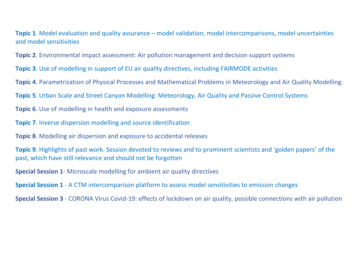**Topic 1**. Model evaluation and quality assurance – model validation, model intercomparisons, model uncertainties and model sensitivities

**Topic 2**. Environmental impact assessment: Air pollution management and decision support systems

**Topic 3**. Use of modelling in support of EU air quality directives, including FAIRMODE activities

**Topic 4**. Parametrization of Physical Processes and Mathematical Problems in Meteorology and Air Quality Modelling.

**Topic 5**. Urban Scale and Street Canyon Modelling: Meteorology, Air Quality and Passive Control Systems

**Topic 6**. Use of modelling in health and exposure assessments

**Topic 7**. Inverse dispersion modelling and source identification

**Topic 8**. Modelling air dispersion and exposure to accidental releases

**Topic 9**. Highlights of past work. Session devoted to reviews and to prominent scientists and 'golden papers' of the past, which have still relevance and should not be forgotten

**Special Session 1**- Microscale modelling for ambient air quality directives

**Special Session 1** - A CTM intercomparison platform to assess model sensitivities to emission changes

**Special Session 3** - CORONA Virus Covid-19: effects of lockdown on air quality, possible connections with air pollution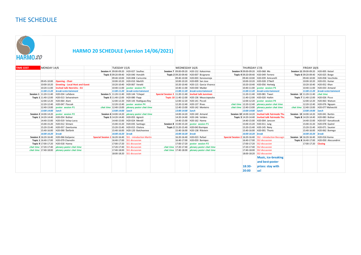### THE SCHEDULE

 **HARMO 20 SCHEDULE (version 14/06/2021) HARM020 TIME CEST** MONDAY 14/6 TUESDAY 15/6 WEDNESDAY 16/6 THURSDAY 17/6 FRIDAY 18/6 **Session 4** 09:00-09:20 H20-027 Soulhac **Session 7** 09:00-09:20 H20-152 Kakosimos **Session 9** 09:00-09:20 H20-068 Mo **Session 11** 09:00-09:20 H20-005 Ketzel **Topic 5** 09:20-09:40 H20-040 Horváth **Topic 2** 09:20-09:40 H20-007 Bisignano **Topic 4** 09:20-09:40 H20-049 Ferrero **Topic 6** 09:20-09:40 H20-025 Borge 09:40-10:00 H20-008 Carissimo 09:40-10:00 H20-003 Karvosenoja 09:40-10:00 H20-039 Amicarelli 09:40-10:00 H20-058 Vecchiola 09:45-10:00 **Opening - Chair** 10:00-10:20 H20-010 Martilli 10:00-10:20 H20-009 San Jose 10:00-10:20 H20-028 O'Neill 10:00-10:20 H20-031 Kumar 10:00-10:20 **Greeting - Local Host and Guest** 10:20-10:40 H20-057 Veratti 10:20-10:40 H20-057 Veratti 10:20-10:40 H20-052 Khan<br>10:20-11:00 **Invited talk Henrichs - FII** 10:40-11:00 poster session P3 10:40-11:00 H20-030 Mul 10:20-11:00 **Invited talk Henrichs - EU** 10:40-11:00 **poster session P3** 10:40-11:00 H20-030 Mulder 10:40-11:00 **poster session P3** 10:40-11:00 H20-033 Armand 11:00-11:20 break+entertainment 11:00-11:20 break+entertainment 11:00-11:20 break+entertainment 11:00-11:20 break+entertainment 11:00-11:20 break+entertainment 11:00-11:20 break+entertainment 11:00-11:20 break+entertainmen Session 1 11:20-11:40 H2O-034 Lefebvre Session 5 11:20-11:40 H2O-11:40 H2O-144 Tchepel Special Session 3 11:20-11:40 Invited talk Junninen 11:20-11:40 H2O-081 Tiwari Session 12 11:20-11:40 chat time **Topic 1** 11:40-12:00 H20-013 Selvaratnam **Topic 5** 11:40-12:00 H20-080 Papp **Topic 10** 11:40-12:00 H20-020 H20-020 H20-020 Haikin **Topic 7** 11:40-12:00 H20-020 Haikin **Topic 7** 11:40-12:00 H20-026 Pisso 12:00-12:20 H20-064 Alam 12:00-12:20 H20-143 Rodriguez-Rey 12:00-12:20 H20-141 Piccoli 12:00-12:20 **poster session P4** 12:00-12:20 H20-063 Watson 12:20-12:40 H20-047 Flassak 12:20-12:40 **poster session P4** 12:20-12:40 H20-137 Rivas *chat time* 12:20-12:40 *plenary poster chat time* 12:20-12:40 H20-076 Nguyen 12:40-13:00 poster session P1 chat time 12:40-13:00 plenary poster chat time 12:40-13:00 H20-0 13:00-14:00 http://en.com/<br>13:00-14:00 lunch 13:00-14:00 lunch 13:00-14:00 lunch 13:00-14:00 lunch 13:00-14:00 lunch 13:00-14:0 *13:00-14:00 lunch 13:00-14:00 lunch 13:00-14:00 lunch 13:00-14:00 lunch 13:00-14:00 lunch* **Session 2** 14:00-14:20 **poster session P2 Session 6** 14:00-14:20 *plenary poster chat time* 14:00-14:20 H20-140 Armand **Session 10** 14:00-14:20 **Invited talk Fairmode Thunis Session 13** 14:00-14:20 H20-041 Bartzis **1991 Topic 11-20-14:40 H20-054 Božnar <b>Topic 5** 14:20-14:40 H20-055 Agresti 14:20-14:40 H20-05 Agresti 14:20-14:40 H20-05 Agresti 14:20-14:40 H20-05 Agresti 14:20-14:40 H20-05 Pagresti 14:40-15:00 H20-05 Pagresti 14:40-15 14:40-15:00 H20-037 Korsakissok 15:00-15:20 H20-012 Slimani 15:00-15:20 H20-035 Santiago **Session 8** 15:00-15:20 **poster session P1** 15:00-15:20 H20-011 Jung 15:00-15:20 H20-078 Quérel 15:20-15:40 H20-057 Geertsema 15:20-15:40 H20-015 Otalora **Topic 2** 15:20-15:40 H20-043 Barmpas 15:20-15:40 H20-145 Nony 15:20-15:40 H20-071 Saunier 15:40-16:00 H20-090 Štefánik 15:40-16:00 H20-120 Batchvarova 15:40-16:00 H20-138 Ribstein 15:40-16:00 H20-001 Thunis 15:40-16:00 H20-062 Borrego *16:00-16:20 break 16:00-16:20 break 16:00-16:20 break 16:00-16:20 break 16:00-16:20 break* Session 3 16:20-16:40 H20-066 Gašparac Special Session 1 16:20-16:40 SS1 - introduction Martín 16:20-16:40 H20-016:40 H20-023 Rafael Session 2 16:20-16:40 Special Session 2 16:20-16:40 SS2 - introduction Bessagen Session 1  **Topic 1** 16:40-17:00 H20-079 Charvolin 16:40-17:00 SS1 discussion 16:40-17:00 H20-059 Barmpas 16:40-17:00 SS2 discussion **Topic 8** 16:40-17:00 H20-050 Alessandrini **Topic 9** 17:00-17:20 H20-018 Hanna 17:00-17:20 17:00-17:20 SS1 discussion 17:00-17:20 SS1 discussion 17:00-17:20 17:00-17:20 poster session P2 17:00-17:20 SS2 discussion 17:00-17:20 Closing *chat time* 17:20-17:40 *plenary poster chat time* 17:20-17:40 SS1 discussion *chat time* 17:20-17:40 *plenary poster chat time* 17:20-17:40 SS2 discussion *chat time* 17:40-18:00 *plenary poster chat time* **17:40-18:00** SS1 discussion *chat time* 17:40-18:00 *plenary poster chat time* 17:40-18:00 SS2 discussion 18:00-18:20 SS1 discussion 18:00-18:20 SS2 discussion **Music, ice-breaking and best-poster 18:30 prizes: stay with 20:00 us!**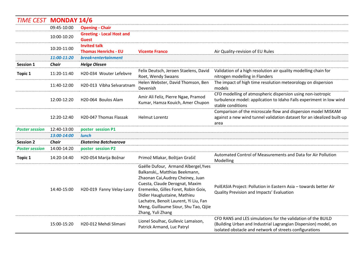| <b>TIME CEST MONDAY 14/6</b> |              |                                                    |                                                                                                                                                                                                                                                                                                                             |                                                                                                                                                                                            |
|------------------------------|--------------|----------------------------------------------------|-----------------------------------------------------------------------------------------------------------------------------------------------------------------------------------------------------------------------------------------------------------------------------------------------------------------------------|--------------------------------------------------------------------------------------------------------------------------------------------------------------------------------------------|
|                              | 09:45-10:00  | <b>Opening - Chair</b>                             |                                                                                                                                                                                                                                                                                                                             |                                                                                                                                                                                            |
|                              | 10:00-10:20  | <b>Greeting - Local Host and</b><br><b>Guest</b>   |                                                                                                                                                                                                                                                                                                                             |                                                                                                                                                                                            |
|                              | 10:20-11:00  | <b>Invited talk</b><br><b>Thomas Henrichs - EU</b> | <b>Vicente Franco</b>                                                                                                                                                                                                                                                                                                       | Air Quality-revision of EU Rules                                                                                                                                                           |
|                              | 11:00-11:20  | break+entertainment                                |                                                                                                                                                                                                                                                                                                                             |                                                                                                                                                                                            |
| <b>Session 1</b>             | <b>Chair</b> | <b>Helge Olesen</b>                                |                                                                                                                                                                                                                                                                                                                             |                                                                                                                                                                                            |
| <b>Topic 1</b>               | 11:20-11:40  | H20-034 Wouter Lefebvre                            | Felix Deutsch, Jeroen Staelens, David<br>Roet, Wendy Swaans                                                                                                                                                                                                                                                                 | Validation of a high resolution air quality modelling chain for<br>nitrogen modelling in Flanders                                                                                          |
|                              | 11:40-12:00  | H20-013 Vibha Selvaratnam                          | Helen Webster, David Thomson, Ben<br>Devenish                                                                                                                                                                                                                                                                               | The impact of high time resolution meteorology on dispersion<br>models                                                                                                                     |
|                              | 12:00-12:20  | H20-064 Boulos Alam                                | Amir Ali Feliz, Pierre Ngae, Pramod<br>Kumar, Hamza Kouich, Amer Chupon                                                                                                                                                                                                                                                     | CFD modelling of atmospheric dispersion using non-isotropic<br>turbulence model: appilcation to Idaho Falls experiment in low wind<br>stable conditions                                    |
|                              | 12:20-12:40  | H20-047 Thomas Flassak                             | <b>Helmut Lorentz</b>                                                                                                                                                                                                                                                                                                       | Comparison of the microscale flow and dispersion model MISKAM<br>against a new wind tunnel validation dataset for an idealized built-up<br>area                                            |
| <b>Poster session</b>        | 12:40-13:00  | poster session P1                                  |                                                                                                                                                                                                                                                                                                                             |                                                                                                                                                                                            |
|                              | 13:00-14:00  | <b>lunch</b>                                       |                                                                                                                                                                                                                                                                                                                             |                                                                                                                                                                                            |
| <b>Session 2</b>             | <b>Chair</b> | <b>Ekaterina Batchvarova</b>                       |                                                                                                                                                                                                                                                                                                                             |                                                                                                                                                                                            |
| <b>Poster session</b>        | 14:00-14:20  | poster session P2                                  |                                                                                                                                                                                                                                                                                                                             |                                                                                                                                                                                            |
| <b>Topic 1</b>               | 14:20-14:40  | H20-054 Marija Božnar                              | Primož Mlakar, Boštjan Grašič                                                                                                                                                                                                                                                                                               | Automated Control of Measurements and Data for Air Pollution<br>Modelling                                                                                                                  |
|                              | 14:40-15:00  | H20-019 Fanny Velay-Lasry                          | Gaëlle Dufour, Armand Albergel, Yves<br>Balkanski,, Matthias Beekmann,<br>Zhaonan Cai, Audrey Cheiney, Juan<br>Cuesta, Claude Derognat, Maxim<br>Eremenko, Gilles Foret, Robin Goix,<br>Didier Hauglustaine, Mathieu<br>Lachatre, Benoit Laurent, Yi Liu, Fan<br>Meng, Guillaume Siour, Shu Tao, Qijie<br>Zhang, Yuli Zhang | PolEASIA Project: Pollution in Eastern Asia - towards better Air<br>Quality Prevision and Impacts' Evaluation                                                                              |
|                              | 15:00-15:20  | H20-012 Mehdi Slimani                              | Lionel Soulhac, Gullevic Lamaison,<br>Patrick Armand, Luc Patryl                                                                                                                                                                                                                                                            | CFD RANS and LES simulations for the validation of the BUILD<br>(Building Urban and Industrial Lagrangian Dispersion) model, on<br>isolated obstacle and network of streets configurations |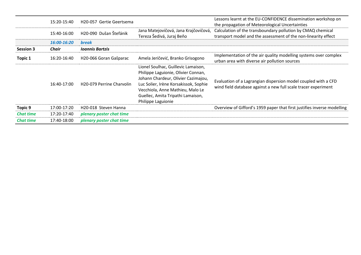|                  | 15:20-15:40  | H20-057 Gertie Geertsema               |                                                                                                                                                                                                                                                           | Lessons learnt at the EU-CONFIDENCE dissemination workshop on<br>the propagation of Meteorological Uncertainties                 |
|------------------|--------------|----------------------------------------|-----------------------------------------------------------------------------------------------------------------------------------------------------------------------------------------------------------------------------------------------------------|----------------------------------------------------------------------------------------------------------------------------------|
|                  | 15:40-16:00  | H20-090 Dušan Štefánik                 | Jana Matejovičová, Jana Krajčovičová,<br>Tereza Šedivá, Juraj Beňo                                                                                                                                                                                        | Calculation of the transboundary pollution by CMAQ chemical<br>transport model and the assessment of the non-linearity effect    |
|                  | 16:00-16:20  | <b>break</b>                           |                                                                                                                                                                                                                                                           |                                                                                                                                  |
| <b>Session 3</b> | <b>Chair</b> | <b>Ioannis Bartzis</b>                 |                                                                                                                                                                                                                                                           |                                                                                                                                  |
| Topic 1          | 16:20-16:40  | H20-066 Goran Gašparac                 | Amela Jeričević, Branko Grisogono                                                                                                                                                                                                                         | Implementation of the air quality modelling systems over complex<br>urban area with diverse air pollution sources                |
|                  | 16:40-17:00  | H <sub>20</sub> -079 Perrine Charvolin | Lionel Soulhac, Guillevic Lamaison,<br>Philippe Laguionie, Olivier Connan,<br>Johann Chardeur, Olivier Cazimajou,<br>Luc Solier, Irène Korsakissok, Sophie<br>Vecchiola, Anne Mathieu, Malo Le<br>Guellec, Amita Tripathi Lamaison,<br>Philippe Laguionie | Evaluation of a Lagrangian dispersion model coupled with a CFD<br>wind field database against a new full scale tracer experiment |
| <b>Topic 9</b>   | 17:00-17:20  | H20-018 Steven Hanna                   |                                                                                                                                                                                                                                                           | Overview of Gifford's 1959 paper that first justifies inverse modelling                                                          |
| <b>Chat time</b> | 17:20-17:40  | plenary poster chat time               |                                                                                                                                                                                                                                                           |                                                                                                                                  |
| <b>Chat time</b> | 17:40-18:00  | plenary poster chat time               |                                                                                                                                                                                                                                                           |                                                                                                                                  |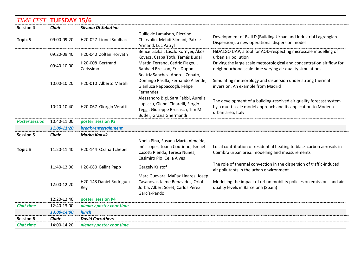| <b>TIME CEST TUESDAY 15/6</b> |              |                                  |                                                                                                                                           |                                                                                                                                                          |
|-------------------------------|--------------|----------------------------------|-------------------------------------------------------------------------------------------------------------------------------------------|----------------------------------------------------------------------------------------------------------------------------------------------------------|
| <b>Session 4</b>              | <b>Chair</b> | Silvana Di Sabatino              |                                                                                                                                           |                                                                                                                                                          |
| <b>Topic 5</b>                | 09:00-09:20  | H20-027 Lionel Soulhac           | Guillevic Lamaison, Pierrine<br>Charvolin, Mehdi Slimani, Patrick<br>Armand, Luc Patryl                                                   | Development of BUILD (Building Urban and Industrial Lagrangian<br>Dispersion), a new operational dispersion model                                        |
|                               | 09:20-09:40  | H20-040 Zoltán Horváth           | Bence Liszkai, Lászlo Környei, Ákos<br>Kovács, Csaba Toth, Tamás Budai                                                                    | HiDALGO UAP, a tool for AQD-respecting microscale modelling of<br>urban air pollution                                                                    |
|                               | 09:40-10:00  | H20-008 Bertrand<br>Carissimo    | Martin Ferrand, Cedric Flageul,<br>Raphael Bresson, Eric Dupont                                                                           | Driving the large scale meteorological and concentration air flow for<br>neighbourhood scale time varying air quality simulations                        |
|                               | 10:00-10:20  | H20-010 Alberto Martilli         | Beatriz Sanchez, Andrea Zonato,<br>Domingo Rasilla, Fernando Allende,<br>Gianluca Pappaccogli, Felipe<br>Fernandez                        | Simulating meteorology and dispersion under strong thermal<br>inversion. An example from Madrid                                                          |
|                               | 10:20-10:40  | H20-067 Giorgio Veratti          | Alessandro Bigi, Sara Fabbi, Aurelia<br>Lupascu, Gianni Tinarelli, Sergio<br>Teggi, Giuseppe Brusasca, Tim M.<br>Butler, Grazia Ghermandi | The development of a building-resolved air quality forecast system<br>by a multi-scale model approach and its application to Modena<br>urban area, Italy |
| <b>Poster session</b>         | 10:40-11:00  | poster session P3                |                                                                                                                                           |                                                                                                                                                          |
|                               | 11:00-11:20  | break+entertainment              |                                                                                                                                           |                                                                                                                                                          |
| <b>Session 5</b>              | <b>Chair</b> | <b>Marko Kaasik</b>              |                                                                                                                                           |                                                                                                                                                          |
| <b>Topic 5</b>                | 11:20-11:40  | H20-144 Oxana Tchepel            | Noela Pina, Susana Marta Almeida,<br>Inês Lopes, Joana Coutinho, Ismael<br>Casotti Rienda, Teresa Nunes,<br>Casimiro Pio, Celia Alves     | Local contribution of residential heating to black carbon aerosols in<br>Coimbra urban area: modelling and measurements                                  |
|                               | 11:40-12:00  | H20-080 Bálint Papp              | Gergely Kristof                                                                                                                           | The role of thermal convection in the dispersion of traffic-induced<br>air pollutants in the urban environment                                           |
|                               | 12:00-12:20  | H20-143 Daniel Rodriguez-<br>Rey | Marc Guevara, MaPaz Linares, Josep<br>Casanovas, Jaime Benavides, Oriol<br>Jorba, Albert Soret, Carlos Pérez<br>García-Pando              | Modelling the impact of urban mobility policies on emissions and air<br>quality levels in Barcelona (Spain)                                              |
|                               | 12:20-12:40  | poster session P4                |                                                                                                                                           |                                                                                                                                                          |
| <b>Chat time</b>              | 12:40-13:00  | plenary poster chat time         |                                                                                                                                           |                                                                                                                                                          |
|                               | 13:00-14:00  | <b>lunch</b>                     |                                                                                                                                           |                                                                                                                                                          |
| <b>Session 6</b>              | <b>Chair</b> | <b>David Carruthers</b>          |                                                                                                                                           |                                                                                                                                                          |
| <b>Chat time</b>              | 14:00-14:20  | plenary poster chat time         |                                                                                                                                           |                                                                                                                                                          |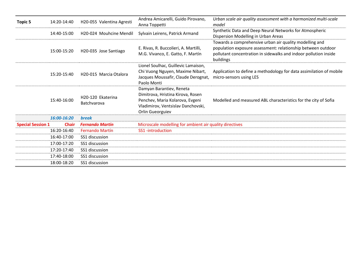| <b>Topic 5</b>           | 14:20-14:40  | H20-055 Valentina Agresti            | Andrea Amicarelli, Guido Pirovano,<br>Anna Toppetti                                                                                                        | Urban scale air quality assessment with a harmonized multi-scale<br>model                                                                                                                                |
|--------------------------|--------------|--------------------------------------|------------------------------------------------------------------------------------------------------------------------------------------------------------|----------------------------------------------------------------------------------------------------------------------------------------------------------------------------------------------------------|
|                          | 14:40-15:00  | H <sub>20</sub> -024 Mouhcine Mendil | Sylvain Leirens, Patrick Armand                                                                                                                            | Synthetic Data and Deep Neural Networks for Atmospheric<br>Dispersion Modelling in Urban Areas                                                                                                           |
|                          | 15:00-15:20  | H20-035 Jose Santiago                | E. Rivas, R. Buccolieri, A. Martilli,<br>M.G. Vivanco, E. Gatto, F. Martín                                                                                 | Towards a comprehensive urban air quality modelling and<br>population exposure assessment: relationship between outdoor<br>pollutant concentration in sidewalks and indoor pollution inside<br>buildings |
|                          | 15:20-15:40  | H20-015 Marcia Otalora               | Lionel Soulhac, Guillevic Lamaison,<br>Chi Vuong Nguyen, Maxime Nibart,<br>Jacques Moussafir, Claude Derognat,<br>Paolo Monti                              | Application to define a methodology for data assimilation of mobile<br>micro-sensors using LES                                                                                                           |
|                          | 15:40-16:00  | H20-120 Ekaterina<br>Batchvarova     | Damyan Barantiev, Reneta<br>Dimitrova, Hristina Kirova, Rosen<br>Penchev, Maria Kolarova, Evgeni<br>Vladimirov, Ventsislav Danchovski,<br>Orlin Gueorguiev | Modelled and measured ABL characteristics for the city of Sofia                                                                                                                                          |
|                          | 16:00-16:20  | <b>break</b>                         |                                                                                                                                                            |                                                                                                                                                                                                          |
| <b>Special Session 1</b> | <b>Chair</b> | <b>Fernando Martín</b>               | Microscale modelling for ambient air quality directives                                                                                                    |                                                                                                                                                                                                          |
|                          | 16:20-16:40  | <b>Fernando Martín</b>               | SS1-introduction                                                                                                                                           |                                                                                                                                                                                                          |
|                          | 16:40-17:00  | SS1 discussion                       |                                                                                                                                                            |                                                                                                                                                                                                          |
|                          | 17:00-17:20  | SS1 discussion                       |                                                                                                                                                            |                                                                                                                                                                                                          |
|                          | 17:20-17:40  | SS1 discussion                       |                                                                                                                                                            |                                                                                                                                                                                                          |
|                          | 17:40-18:00  | SS1 discussion                       |                                                                                                                                                            |                                                                                                                                                                                                          |
|                          | 18:00-18:20  | SS1 discussion                       |                                                                                                                                                            |                                                                                                                                                                                                          |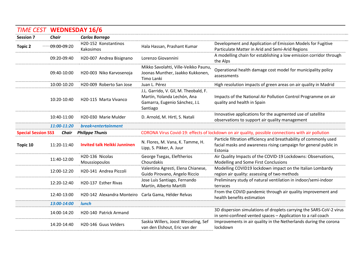|                  |                                                                      | <b>TIME CEST WEDNESDAY 16/6</b>                      |                                                                                                                   |                                                                                                                                                  |  |  |
|------------------|----------------------------------------------------------------------|------------------------------------------------------|-------------------------------------------------------------------------------------------------------------------|--------------------------------------------------------------------------------------------------------------------------------------------------|--|--|
| <b>Session 7</b> | <b>Chair</b>                                                         | <b>Carlos Borrego</b>                                |                                                                                                                   |                                                                                                                                                  |  |  |
| <b>Topic 2</b>   | 09:00-09:20                                                          | H20-152 Konstantinos<br>Kakosimos                    | Hala Hassan, Prashant Kumar                                                                                       | Development and Application of Emission Models for Fugitive<br>Particulate Matter in Arid and Semi-Arid Regions                                  |  |  |
|                  | 09:20-09:40                                                          | H20-007 Andrea Bisignano                             | Lorenzo Giovannini                                                                                                | A modelling chain for establishing a low emission corridor through<br>the Alps                                                                   |  |  |
|                  | 09:40-10:00                                                          | H20-003 Niko Karvosenoja                             | Mikko Savolahti, Ville-Veikko Paunu,<br>Joonas Munther, Jaakko Kukkonen,<br>Timo Lanki                            | Operational health damage cost model for municipality policy<br>assessments                                                                      |  |  |
|                  | 10:00-10:20                                                          | H20-009 Roberto San Jose                             | Juan L. Pérez                                                                                                     | High resolution impacts of green areas on air quality in Madrid                                                                                  |  |  |
|                  | 10:20-10:40                                                          | H20-115 Marta Vivanco                                | J.L. Garrido, V. Gil, M. Theobald, F.<br>Martín, Yolanda Lechón, Ana<br>Gamarra, Eugenio Sánchez, J.L<br>Santiago | Impacts of the National Air Pollution Control Programme on air<br>quality and health in Spain                                                    |  |  |
|                  | 10:40-11:00                                                          | H20-030 Marie Mulder                                 | D. Arnold, M. Hirtl, S. Natali                                                                                    | Innovative applications for the augmented use of satellite<br>observations to support air quality management                                     |  |  |
|                  | 11:00-11:20                                                          | break+entertainment                                  |                                                                                                                   |                                                                                                                                                  |  |  |
|                  | <b>Special Session SS3</b><br><b>Chair</b><br><b>Philippe Thunis</b> |                                                      | CORONA Virus Covid-19: effects of lockdown on air quality, possible connections with air pollution                |                                                                                                                                                  |  |  |
| Topic 10         | 11:20-11:40                                                          | <b>Invited talk Heikki Junninen</b>                  | N. Flores, M. Vana, K. Tamme, H.<br>Lipp, S. Pikker, A. Juur                                                      | Particle filtration efficiency and breathability of commonly used<br>facial masks and awareness rising campaign for general public in<br>Estonia |  |  |
|                  | 11:40-12:00                                                          | H20-136 Nicolas                                      | George Tsegas, Eleftherios                                                                                        | Air Quality Impacts of the COVID-19 Lockdowns: Observations,                                                                                     |  |  |
|                  |                                                                      | Moussiopoulos                                        | Chourdakis                                                                                                        | Modelling and Some First Conclusions                                                                                                             |  |  |
|                  | 12:00-12:20                                                          | H20-141 Andrea Piccoli                               | Valentina Agresti, Elena Chianese,<br>Guido Pirovano, Angelo Riccio                                               | Modelling COVID19 lockdown impact on the Italian Lombardy<br>region air quality: assessing of two methods                                        |  |  |
|                  | 12:20-12:40                                                          | H20-137 Esther Rivas                                 | Jose Luis Santiago, Fernando<br>Martín, Alberto Martilli                                                          | Preliminary study of natural ventilation in indoor/semi-indoor<br>terraces                                                                       |  |  |
|                  | 12:40-13:00                                                          | H20-142 Alexandra Monteiro Carla Gama, Hélder Relvas |                                                                                                                   | From the COVID pandemic through air quality improvement and<br>health benefits estimation                                                        |  |  |
|                  | 13:00-14:00                                                          | <b>lunch</b>                                         |                                                                                                                   |                                                                                                                                                  |  |  |
|                  | 14:00-14:20                                                          | H20-140 Patrick Armand                               |                                                                                                                   | 3D dispersion simulations of droplets carrying the SARS-CoV-2 virus<br>in semi-confined vented spaces - Application to a rail coach              |  |  |
|                  | 14:20-14:40                                                          | H20-146 Guus Velders                                 | Saskia Willers, Joost Wesseling, Sef<br>van den Elshout, Eric van der                                             | Improvements in air quality in the Netherlands during the corona<br>lockdown                                                                     |  |  |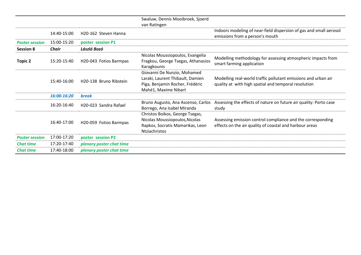|                       |              |                                    | Swaluw, Dennis Mooibroek, Sjoerd<br>van Ratingen                                                                              |                                                                                                                        |
|-----------------------|--------------|------------------------------------|-------------------------------------------------------------------------------------------------------------------------------|------------------------------------------------------------------------------------------------------------------------|
|                       | 14:40-15:00  | H <sub>20</sub> -162 Steven Hanna  |                                                                                                                               | Indoors modeling of near-field dispersion of gas and small aerosol<br>emissions from a person's mouth                  |
| <b>Poster session</b> | 15:00-15:20  | poster session P1                  |                                                                                                                               |                                                                                                                        |
| <b>Session 8</b>      | <b>Chair</b> | László Bozó                        |                                                                                                                               |                                                                                                                        |
| Topic 2               | 15:20-15:40  | H20-043 Fotios Barmpas             | Nicolas Moussiopoulos, Evangelia<br>Fragkou, George Tsegas, Athanasios<br>Karagkounis                                         | Modelling methodology for assessing atmospheric impacts from<br>smart farming application                              |
|                       | 15:40-16:00  | H20-138 Bruno Ribstein             | Giovanni De Nunzio, Mohamed<br>Laraki, Laurent Thibault, Damien<br>Piga, Benjamin Rocher, Frédéric<br>Mahé1, Maxime Nibart    | Modelling real-world traffic pollutant emissions and urban air<br>quality at with high spatial and temporal resolution |
|                       | 16:00-16:20  | <b>break</b>                       |                                                                                                                               |                                                                                                                        |
|                       | 16:20-16:40  | H <sub>20</sub> -023 Sandra Rafael | Bruno Augusto, Ana Ascenso, Carlos<br>Borrego, Ana Isabel Miranda                                                             | Assessing the effects of nature on future air quality: Porto case<br>study                                             |
|                       | 16:40-17:00  | H20-059 Fotios Barmpas             | Christos Boikos, George Tsegas,<br>Nicolas Moussiopoulos, Nicolas<br>Rapkos, Socratis Mamarikas, Leon<br><b>Ntziachristos</b> | Assessing emission control compliance and the corresponding<br>effects on the air quality of coastal and harbour areas |
| <b>Poster session</b> | 17:00-17:20  | poster session P2                  |                                                                                                                               |                                                                                                                        |
| <b>Chat time</b>      | 17:20-17:40  | plenary poster chat time           |                                                                                                                               |                                                                                                                        |
| <b>Chat time</b>      | 17:40-18:00  | plenary poster chat time           |                                                                                                                               |                                                                                                                        |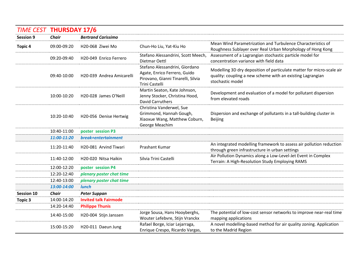| <b>TIME CEST THURSDAY 17/6</b> |              |                              |                                                                                                                        |                                                                                                                                                         |
|--------------------------------|--------------|------------------------------|------------------------------------------------------------------------------------------------------------------------|---------------------------------------------------------------------------------------------------------------------------------------------------------|
| <b>Session 9</b>               | <b>Chair</b> | <b>Bertrand Carissimo</b>    |                                                                                                                        |                                                                                                                                                         |
| <b>Topic 4</b>                 | 09:00-09:20  | H20-068 Ziwei Mo             | Chun-Ho Liu, Yat-Kiu Ho                                                                                                | Mean Wind Parametrization and Turbulence Characteristics of<br>Roughness Sublayer over Real Urban Morphology of Hong Kong                               |
|                                | 09:20-09:40  | H20-049 Enrico Ferrero       | Stefano Alessandrini, Scott Meech,<br>Dietmar Oettl                                                                    | Assessment of a Lagrangian stochastic particle model for<br>concentration variance with field data                                                      |
|                                | 09:40-10:00  | H20-039 Andrea Amicarelli    | Stefano Alessandrini, Giordano<br>Agate, Enrico Ferrero, Guido<br>Pirovano, Gianni Tinarelli, Silvia<br>Trini Castelli | Modelling 3D dry deposition of particulate matter for micro-scale air<br>quality: coupling a new scheme with an existing Lagrangian<br>stochastic model |
|                                | 10:00-10:20  | H20-028 James O'Neill        | Martin Seaton, Kate Johnson,<br>Jenny Stocker, Christina Hood,<br><b>David Carruthers</b>                              | Development and evaluation of a model for pollutant dispersion<br>from elevated roads                                                                   |
|                                | 10:20-10:40  | H20-056 Denise Hertwig       | Christina Vanderwel, Sue<br>Grimmond, Hannah Gough,<br>Xiaoxue Wang, Matthew Coburn,<br>George Meachim                 | Dispersion and exchange of pollutants in a tall-building cluster in<br><b>Beijing</b>                                                                   |
|                                | 10:40-11:00  | poster session P3            |                                                                                                                        |                                                                                                                                                         |
|                                | 11:00-11:20  | break+entertainment          |                                                                                                                        |                                                                                                                                                         |
|                                | 11:20-11:40  | H20-081 Arvind Tiwari        | Prashant Kumar                                                                                                         | An integrated modelling framework to assess air pollution reduction<br>through green infrastructure in urban settings                                   |
|                                | 11:40-12:00  | H20-020 Nitsa Haikin         | Silvia Trini Castelli                                                                                                  | Air Pollution Dynamics along a Low-Level-Jet Event in Complex<br>Terrain: A High-Resolution Study Employing RAMS                                        |
|                                | 12:00-12:20  | poster session P4            |                                                                                                                        |                                                                                                                                                         |
|                                | 12:20-12:40  | plenary poster chat time     |                                                                                                                        |                                                                                                                                                         |
|                                | 12:40-13:00  | plenary poster chat time     |                                                                                                                        |                                                                                                                                                         |
|                                | 13:00-14:00  | <b>lunch</b>                 |                                                                                                                        |                                                                                                                                                         |
| <b>Session 10</b>              | <b>Chair</b> | <b>Peter Suppan</b>          |                                                                                                                        |                                                                                                                                                         |
| <b>Topic 3</b>                 | 14:00-14:20  | <b>Invited talk Fairmode</b> |                                                                                                                        |                                                                                                                                                         |
|                                | 14:20-14:40  | <b>Philippe Thunis</b>       |                                                                                                                        |                                                                                                                                                         |
|                                | 14:40-15:00  | H20-004 Stijn Janssen        | Jorge Sousa, Hans Hooyberghs,<br>Wouter Lefebvre, Stijn Vranckx                                                        | The potential of low-cost sensor networks to improve near-real time<br>mapping applications                                                             |
|                                | 15:00-15:20  | H20-011 Daeun Jung           | Rafael Borge, Iciar Lejarraga,<br>Enrique Crespo, Ricardo Vargas,                                                      | A novel modelling-based method for air quality zoning. Application<br>to the Madrid Region                                                              |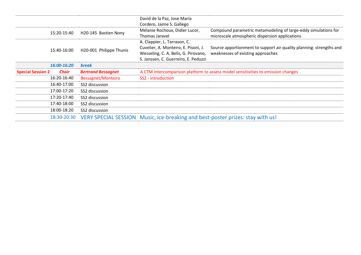|                          |             |                           | David de la Paz, Jose María<br>Cordero, Jaime S. Gallego                                                                                             |                                                                                                                  |
|--------------------------|-------------|---------------------------|------------------------------------------------------------------------------------------------------------------------------------------------------|------------------------------------------------------------------------------------------------------------------|
|                          | 15:20-15:40 | H20-145 Bastien Nony      | Mélanie Rochoux, Didier Lucor,<br>Thomas Jaravel                                                                                                     | Compound parametric metamodeling of large-eddy simulations for<br>microscale atmospheric dispersion applications |
|                          | 15:40-16:00 | H20-001 Philippe Thunis   | A. Clappier, L. Tarrason, C.<br>Cuvelier, A. Monteiro, E. Pisoni, J.<br>Wesseling, C. A. Belis, G. Pirovano,<br>S. Janssen, C. Guerreiro, E. Peduzzi | Source apportionment to support air quality planning: strengths and<br>weaknesses of existing approaches         |
|                          | 16:00-16:20 | <b>break</b>              |                                                                                                                                                      |                                                                                                                  |
| <b>Special Session 2</b> | Chair       | <b>Bertrand Bessagnet</b> | A CTM intercomparison platform to assess model sensitivities to emission changes                                                                     |                                                                                                                  |
|                          | 16:20-16:40 | <b>Bessagnet/Monteiro</b> | SS2 - introduction                                                                                                                                   |                                                                                                                  |
|                          |             |                           |                                                                                                                                                      |                                                                                                                  |
|                          | 16:40-17:00 | SS2 discussion            |                                                                                                                                                      |                                                                                                                  |
|                          | 17:00-17:20 | SS2 discussion            |                                                                                                                                                      |                                                                                                                  |
|                          | 17:20-17:40 | SS2 discussion            |                                                                                                                                                      |                                                                                                                  |
|                          | 17:40-18:00 | SS2 discussion            |                                                                                                                                                      |                                                                                                                  |
|                          | 18:00-18:20 | SS2 discussion            |                                                                                                                                                      |                                                                                                                  |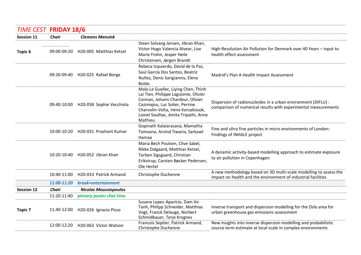### *TIME CEST* **FRIDAY 18/6**

| <i><b>IIIVIE CEST FRIDAY 18/0</b></i> |              |                                      |                                                                                                                                                                                                                                              |                                                                                                                                    |
|---------------------------------------|--------------|--------------------------------------|----------------------------------------------------------------------------------------------------------------------------------------------------------------------------------------------------------------------------------------------|------------------------------------------------------------------------------------------------------------------------------------|
| <b>Session 11</b>                     | <b>Chair</b> | <b>Clemens Mensink</b>               |                                                                                                                                                                                                                                              |                                                                                                                                    |
| Topic 6                               | 09:00-09:20  | H20-005 Matthias Ketzel              | Steen Solvang Jensen, Jibran Khan,<br>Victor Hugo Valencia Alvear, Lise<br>Marie Frohn, Jesper Heile<br>Christensen, Jørgen Brandt                                                                                                           | High-Resolution Air Pollution for Denmark over 40 Years - input to<br>health effect assessment                                     |
|                                       | 09:20-09:40  | H20-025 Rafael Borge                 | Rebeca Izquierdo, David de la Paz,<br>Saul García Dos Santos, Beatriz<br>Nuñez, Denis Sarigiannis, Elena<br><b>Boldo</b>                                                                                                                     | Madrid's Plan A Health Impact Assessment                                                                                           |
|                                       |              | 09:40-10:00 H20-058 Sophie Vecchiola | Malo Le Guellec, Liying Chen, Thinh<br>Lai Tien, Philippe Laguionie, Olivier<br>Connan, Johann Chardeur, Olivier<br>Cazimajou, Luc Solier, Perrine<br>Charvolin-Volta, Irène Korsakissok,<br>Lionel Soulhac, Amita Tripathi, Anne<br>Mathieu | Dispersion of radionucleides in a urban environment (DIFLU) :<br>comparison of numerical results with experimental measurements    |
|                                       |              | 10:00-10:20 H20-031 Prashant Kumar   | Gopinath Kalaiarasana, Mamatha<br>Tomsona, Arvind Tiwaria, Sarkawt<br>Hamaa                                                                                                                                                                  | Fine and ultra fine particles in micro environments of London:<br>Findings of INHALE project                                       |
|                                       | 10:20-10:40  | H20-052 Jibran Khan                  | Maria Bech Poulsen, Clive Sabel,<br>Rikke Dalgaard, Matthias Ketzel,<br>Torben Sigsgaard, Christian<br>Erikstrup, Carsten Bøcker Pedersen,<br>Ole Hertel                                                                                     | A dynamic activity-based modelling approach to estimate exposure<br>to air pollution in Copenhagen                                 |
|                                       | 10:40-11:00  | H20-033 Patrick Armand               | Christophe Duchenne                                                                                                                                                                                                                          | A new methodology based on 3D multi-scale modelling to assess the<br>impact on health and the environment of industrial facilities |
|                                       | 11:00-11:20  | break+entertainment                  |                                                                                                                                                                                                                                              |                                                                                                                                    |
| <b>Session 12</b>                     | <b>Chair</b> | <b>Nicolas Moussiopoulos</b>         |                                                                                                                                                                                                                                              |                                                                                                                                    |
|                                       | 11:20-11:40  | plenary poster chat time             |                                                                                                                                                                                                                                              |                                                                                                                                    |
| <b>Topic 7</b>                        | 11:40-12:00  | H20-026 Ignacio Pisso                | Susana Lopez-Aparicio, Dam Vo<br>Tanh, Philipp Schneider, Matthias<br>Vogt, Franck Delauge, Norbert<br>Schmidbauer, Terje Krognes                                                                                                            | Inverse transport and dispersion modelling for the Oslo area for<br>urban greenhouse gas emissions assessment                      |
|                                       | 12:00-12:20  | H20-063 Victor Watson                | Francois Septier, Patrick Armand,<br>Christophe Duchenne                                                                                                                                                                                     | New insights into inverse dispersion modelling and probabilistic<br>source term estimate at local scale in complex environments    |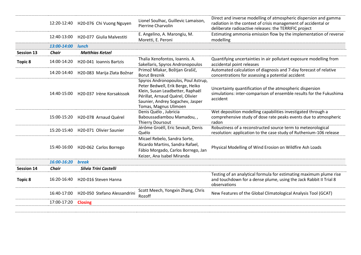|                   |              | 12:20-12:40 H20-076 Chi Vuong Nguyen | Lionel Soulhac, Guillevic Lamaison,<br><b>Pierrine Charvolin</b>                                                                                                                                            | Direct and inverse modelling of atmospheric dispersion and gamma<br>radiation in the context of crisis management of accidental or<br>deliberate radioactive releases: the TERRIFIC project |
|-------------------|--------------|--------------------------------------|-------------------------------------------------------------------------------------------------------------------------------------------------------------------------------------------------------------|---------------------------------------------------------------------------------------------------------------------------------------------------------------------------------------------|
|                   | 12:40-13:00  | H20-077 Giulia Malvestiti            | E. Angelino, A. Marongiu, M.<br>Moretti, E. Peroni                                                                                                                                                          | Estimating ammonia emission flow by the implementation of reverse<br>modelling                                                                                                              |
|                   | 13:00-14:00  | <b>lunch</b>                         |                                                                                                                                                                                                             |                                                                                                                                                                                             |
| <b>Session 13</b> | Chair        | <b>Matthias Ketzel</b>               |                                                                                                                                                                                                             |                                                                                                                                                                                             |
| <b>Topic 8</b>    | 14:00-14:20  | H20-041 Ioannis Bartzis              | Thalia Xenofontos, Ioannis. A.<br>Sakellaris, Spyros Andronopoulos                                                                                                                                          | Quantifying uncertainties in air pollutant exposure modelling from<br>accidental point releases                                                                                             |
|                   | 14:20-14:40  | H20-083 Marija Zlata Božnar          | Primož Mlakar, Boštjan Grašič,<br><b>Borut Breznik</b>                                                                                                                                                      | Automated calculation of diagnosis and 7-day forecast of relative<br>concentrations for assessing a potential accident                                                                      |
|                   | 14:40-15:00  | H20-037 Irène Korsakissok            | Spyros Andronopoulos, Poul Astrup,<br>Peter Bedwell, Erik Berge, Heiko<br>Klein, Susan Leadbetter, Raphaël<br>Périllat, Arnaud Quérel, Olivier<br>Saunier, Andrey Sogachev, Jasper<br>Tomas, Magnus Ulimoen | Uncertainty quantification of the atmospheric dispersion<br>simulations: inter-comparison of ensemble results for the Fukushima<br>accident                                                 |
|                   |              | 15:00-15:20 H20-078 Arnaud Quérel    | Denis Quélo, Jubricia<br>Baboussadiambou Mamadou,,<br>Thierry Doursout                                                                                                                                      | Wet deposition modelling capabilities investigated through a<br>comprehensive study of dose rate peaks events due to atmospheric<br>radon                                                   |
|                   | 15:20-15:40  | H20-071 Olivier Saunier              | Jérôme Groëll, Eric Sevault, Denis<br>Quélo                                                                                                                                                                 | Robustness of a reconstructed source term to meteorological<br>resolution: application to the case study of Ruthenium-106 release                                                           |
|                   |              | 15:40-16:00 H20-062 Carlos Borrego   | Micael Rebelo, Sandra Sorte,<br>Ricardo Martins, Sandra Rafael,<br>Fábio Morgado, Carlos Borrego, Jan<br>Keizer, Ana Isabel Miranda                                                                         | Physical Modelling of Wind Erosion on Wildfire Ash Loads                                                                                                                                    |
|                   | 16:00-16:20  | <b>break</b>                         |                                                                                                                                                                                                             |                                                                                                                                                                                             |
| <b>Session 14</b> | <b>Chair</b> | Silvia Trini Castelli                |                                                                                                                                                                                                             |                                                                                                                                                                                             |
| <b>Topic 8</b>    | 16:20-16:40  | H20-016 Steven Hanna                 |                                                                                                                                                                                                             | Testing of an analytical formula for estimating maximum plume rise<br>and touchdown for a dense plume, using the Jack Rabbit II Trial 8<br>observations                                     |
|                   | 16:40-17:00  | H20-050 Stefano Alessandrini         | Scott Meech, Yongxin Zhang, Chris<br>Rozoff                                                                                                                                                                 | New Features of the Global Climatological Analysis Tool (GCAT)                                                                                                                              |
|                   | 17:00-17:20  | <b>Closing</b>                       |                                                                                                                                                                                                             |                                                                                                                                                                                             |
|                   |              |                                      |                                                                                                                                                                                                             |                                                                                                                                                                                             |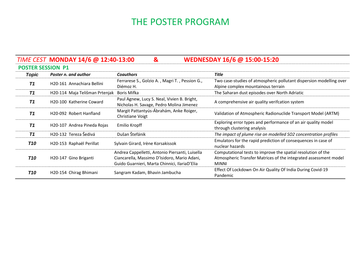# THE POSTER PROGRAM

|                          | TIME CEST MONDAY 14/6 @ 12:40-13:00 | &                                                                                                                                                | WEDNESDAY 16/6 @ 15:00-15:20                                                                                                                     |
|--------------------------|-------------------------------------|--------------------------------------------------------------------------------------------------------------------------------------------------|--------------------------------------------------------------------------------------------------------------------------------------------------|
| <b>POSTER SESSION P1</b> |                                     |                                                                                                                                                  |                                                                                                                                                  |
| <b>Topic</b>             | Poster n. and author                | <b>Coauthors</b>                                                                                                                                 | <b>Title</b>                                                                                                                                     |
| T <sub>1</sub>           | H20-161 Annachiara Bellini          | Ferrarese S., Golzio A., Magri T., Pession G.,<br>Diémoz H.                                                                                      | Two case-studies of atmospheric pollutant dispersion modelling over<br>Alpine complex mountainous terrain                                        |
| T1                       | H20-114 Maja Telišman Prtenjak      | Boris Mifka                                                                                                                                      | The Saharan dust episodes over North Adriatic                                                                                                    |
| T <sub>1</sub>           | H20-100 Katherine Coward            | Paul Agnew, Lucy S. Neal, Vivien B. Bright,<br>Nicholas H. Savage, Pedro Molina Jimenez                                                          | A comprehensive air quality verifcation system                                                                                                   |
| T <sub>1</sub>           | H20-092 Robert Hanfland             | Margit Pattantyús-Ábrahám, Anke Roiger,<br>Christiane Voigt                                                                                      | Validation of Atmospheric Radionuclide Transport Model (ARTM)                                                                                    |
| T <sub>1</sub>           | H20-107 Andrea Pineda Rojas         | Emilio Kropff                                                                                                                                    | Exploring error types and performance of an air quality model<br>through clustering analysis                                                     |
| T <sub>1</sub>           | H20-132 Tereza Šedivá               | Dušan Štefánik                                                                                                                                   | The impact of plume rise on modelled SO2 concentration profiles                                                                                  |
| T10                      | H20-153 Raphaël Perillat            | Sylvain Girard, Irène Korsakissok                                                                                                                | Emulators for the rapid prediction of consequences in case of<br>nuclear hazards                                                                 |
| T10                      | H20-147 Gino Briganti               | Andrea Cappelletti, Antonio Piersanti, Luisella<br>Ciancarella, Massimo D'Isidoro, Mario Adani,<br>Guido Guarnieri, Marta Chinnici, IlariaD'Elia | Computational tests to improve the spatial resolution of the<br>Atmospheric Transfer Matrices of the integrated assessment model<br><b>MINNI</b> |
| T10                      | H20-154 Chirag Bhimani              | Sangram Kadam, Bhavin Jambucha                                                                                                                   | Effect Of Lockdown On Air Quality Of India During Covid-19<br>Pandemic                                                                           |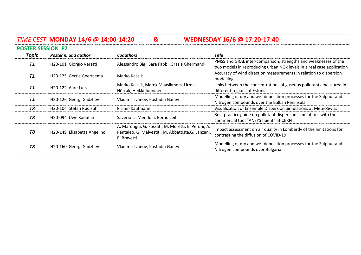# *TIME CEST* **MONDAY 14/6 @ 14:00-14:20 & WEDNESDAY 16/6 @ 17:20-17:40**

| <b>POSTER SESSION P2</b> |                                       |                                                                                                                          |                                                                                                                                                      |
|--------------------------|---------------------------------------|--------------------------------------------------------------------------------------------------------------------------|------------------------------------------------------------------------------------------------------------------------------------------------------|
| <b>Topic</b>             | Poster n. and author                  | <b>Coauthors</b>                                                                                                         | <b>Title</b>                                                                                                                                         |
| T1                       | H20-101 Giorgio Veratti               | Alessandro Bigi, Sara Fabbi, Grazia Ghermandi                                                                            | PMSS and GRAL inter-comparison: strengths and weaknesses of the<br>two models in reproducing urban NO <sub>x</sub> levels in a real case application |
| T <sub>1</sub>           | H <sub>20</sub> -125 Gertie Geertsema | Marko Kaasik                                                                                                             | Accuracy of wind direction measurements in relation to dispersion<br>modelling                                                                       |
| T1                       | H <sub>20</sub> -122 Aare Luts        | Marko Kaasik, Marek Maasikmets, Urmas<br>Hõrrak, Heikki Junninen                                                         | Links between the concentrations of gaseous pollutants measured in<br>different regions of Estonia                                                   |
| T1                       | H20-126 Georgi Gadzhev                | Vladimir Ivanov, Kostadin Ganev                                                                                          | Modelling of dry and wet deposition processes for the Sulphur and<br>Nitrogen compounds over the Balkan Peninsula                                    |
| T <sub>8</sub>           | H <sub>20</sub> -104 Stefan Rüdisühli | Pirmin Kaufmann                                                                                                          | Visualization of Ensemble Dispersion Simulations at MeteoSwiss                                                                                       |
| T8                       | H <sub>20</sub> -094 Uwe Kaeuflin     | Saverio La Mendola, Bernd Leitl                                                                                          | Best practice guide on pollutant dispersion simulations with the<br>commercial tool "ANSYS fluent" at CERN                                           |
| <b>T8</b>                | H20-149 Elisabetta Angelino           | A. Marongiu, G. Fossati, M. Moretti, E. Peroni, A.<br>Pantaleo, G. Malvestiti, M. Abbattista, G. Lanzani,<br>E. Bravetti | Impact assessment on air quality in Lombardy of the limitations for<br>contrasting the diffusion of COVID-19                                         |
| Т8                       | H20-160 Georgi Gadzhev                | Vladimir Ivanov, Kostadin Ganev                                                                                          | Modelling of dry and wet deposition processes for the Sulphur and<br>Nitrogen compounds over Bulgaria                                                |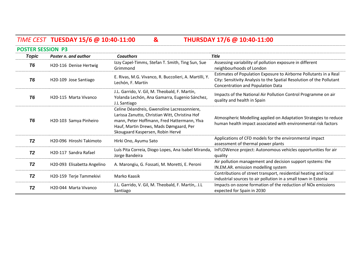# *TIME CEST* **TUESDAY 15/6 @ 10:40-11:00 & THURSDAY 17/6 @ 10:40-11:00**

| <b>POSTER SESSION P3</b> |                                       |                                                                                                                                                                                                                            |                                                                                                                                                                                        |  |  |
|--------------------------|---------------------------------------|----------------------------------------------------------------------------------------------------------------------------------------------------------------------------------------------------------------------------|----------------------------------------------------------------------------------------------------------------------------------------------------------------------------------------|--|--|
| Topic                    | Poster n. and author                  | <b>Coauthors</b>                                                                                                                                                                                                           | <b>Title</b>                                                                                                                                                                           |  |  |
| T6                       | H20-116 Denise Hertwig                | Izzy Capel-Timms, Stefan T. Smith, Ting Sun, Sue<br>Grimmond                                                                                                                                                               | Assessing variability of pollution exposure in different<br>neighbourhoods of London                                                                                                   |  |  |
| T6                       | H20-109 Jose Santiago                 | E. Rivas, M.G. Vivanco, R. Buccolieri, A. Martilli, Y.<br>Lechón, F. Martín                                                                                                                                                | Estimates of Population Exposure to Airborne Pollutants in a Real<br>City: Sensitivity Analysis to the Spatial Resolution of the Pollutant<br><b>Concentration and Population Data</b> |  |  |
| T6                       | H <sub>20</sub> -115 Marta Vivanco    | J.L. Garrido, V. Gil, M. Theobald, F. Martín,<br>Yolanda Lechón, Ana Gamarra, Eugenio Sánchez,<br>J.L Santiago                                                                                                             | Impacts of the National Air Pollution Control Programme on air<br>quality and health in Spain                                                                                          |  |  |
| T6                       | H20-103 Samya Pinheiro                | Celine Déandreis, Gwenoline Lacressonniere,<br>Larissa Zanutto, Christian Witt, Christina Hof<br>mann, Peter Hoffmann, Fred Hattermann, Ylva<br>Hauf, Martin Drews, Mads Dømgaard, Per<br>Skougaard Kaspersen, Robin Hervé | Atmospheric Modelling applied on Adaptation Strategies to reduce<br>human health impact associated with environmental risk factors                                                     |  |  |
| <b>T2</b>                | H <sub>20</sub> -096 Hiroshi Takimoto | Hirki Ono, Ayumu Sato                                                                                                                                                                                                      | Applications of CFD models for the environmental impact<br>assessment of thermal power plants                                                                                          |  |  |
| <b>T2</b>                | H20-117 Sandra Rafael                 | Luís Pita Correia, Diogo Lopes, Ana Isabel Miranda,<br>Jorge Bandeira                                                                                                                                                      | InFLOWence project: Autonomous vehicles opportunities for air<br>quality                                                                                                               |  |  |
| <b>T2</b>                | H20-093 Elisabetta Angelino           | A. Marongiu, G. Fossati, M. Moretti, E. Peroni                                                                                                                                                                             | Air pollution management and decision support systems: the<br>IN.EM.AR. emission modelling system                                                                                      |  |  |
| <b>T2</b>                | H20-159 Terje Tammekivi               | Marko Kaasik                                                                                                                                                                                                               | Contributions of street transport, residential heating and local<br>industrial sources to air pollution in a small town in Estonia                                                     |  |  |
| <b>T2</b>                | H <sub>20</sub> -044 Marta Vivanco    | J.L. Garrido, V. Gil, M. Theobald, F. Martín,. J.L.<br>Santiago                                                                                                                                                            | Impacts on ozone formation of the reduction of NO <sub>x</sub> emissions<br>expected for Spain in 2030                                                                                 |  |  |